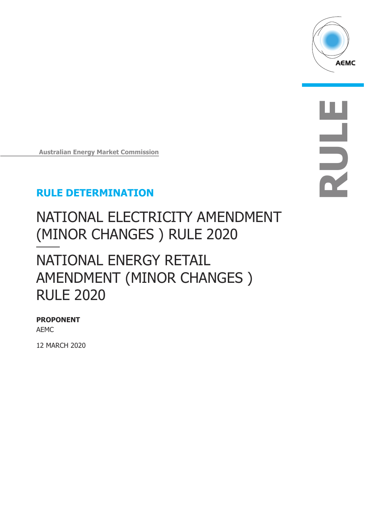

**RULE**

**Australian Energy Market Commission**

## **RULE DETERMINATION**

# NATIONAL ELECTRICITY AMENDMENT (MINOR CHANGES ) RULE 2020

# NATIONAL ENERGY RETAIL AMENDMENT (MINOR CHANGES ) RULE 2020

#### **PROPONENT**

AEMC

12 MARCH 2020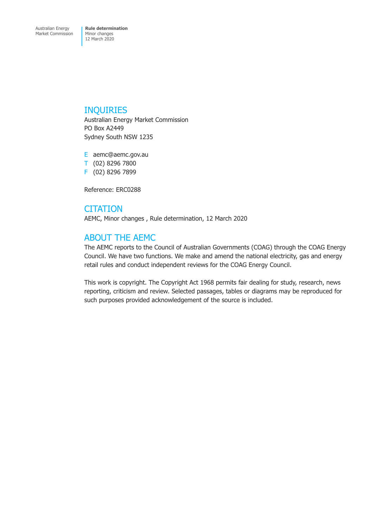#### INQUIRIES

Australian Energy Market Commission PO Box A2449 Sydney South NSW 1235

E aemc@aemc.gov.au T (02) 8296 7800 F (02) 8296 7899

Reference: ERC0288

#### **CITATION**

AEMC, Minor changes , Rule determination, 12 March 2020

#### ABOUT THE AEMC

The AEMC reports to the Council of Australian Governments (COAG) through the COAG Energy Council. We have two functions. We make and amend the national electricity, gas and energy retail rules and conduct independent reviews for the COAG Energy Council.

This work is copyright. The Copyright Act 1968 permits fair dealing for study, research, news reporting, criticism and review. Selected passages, tables or diagrams may be reproduced for such purposes provided acknowledgement of the source is included.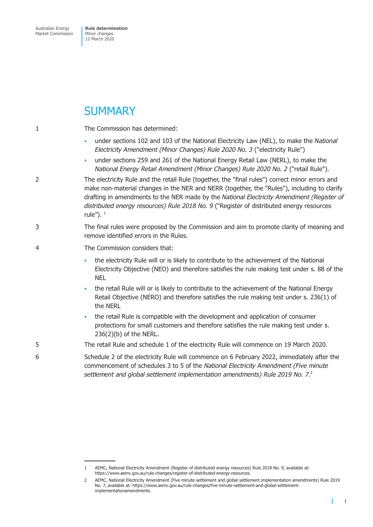## **SUMMARY**

| 1 | The Commission has determined:                                                                                                                                                                                                                                                                                                                                                                         |  |  |  |
|---|--------------------------------------------------------------------------------------------------------------------------------------------------------------------------------------------------------------------------------------------------------------------------------------------------------------------------------------------------------------------------------------------------------|--|--|--|
|   | under sections 102 and 103 of the National Electricity Law (NEL), to make the National<br>۰<br>Electricity Amendment (Minor Changes) Rule 2020 No. 3 ("electricity Rule")                                                                                                                                                                                                                              |  |  |  |
|   | under sections 259 and 261 of the National Energy Retail Law (NERL), to make the<br>۰<br>National Energy Retail Amendment (Minor Changes) Rule 2020 No. 2 ("retail Rule").                                                                                                                                                                                                                             |  |  |  |
| 2 | The electricity Rule and the retail Rule (together, the "final rules") correct minor errors and<br>make non-material changes in the NER and NERR (together, the "Rules"), including to clarify<br>drafting in amendments to the NER made by the National Electricity Amendment (Register of<br>distributed energy resources) Rule 2018 No. 9 ("Register of distributed energy resources<br>rule"). $1$ |  |  |  |
| 3 | The final rules were proposed by the Commission and aim to promote clarity of meaning and<br>remove identified errors in the Rules.                                                                                                                                                                                                                                                                    |  |  |  |
| 4 | The Commission considers that:                                                                                                                                                                                                                                                                                                                                                                         |  |  |  |
|   | the electricity Rule will or is likely to contribute to the achievement of the National<br>$\bullet$<br>Electricity Objective (NEO) and therefore satisfies the rule making test under s. 88 of the<br><b>NEL</b>                                                                                                                                                                                      |  |  |  |
|   | the retail Rule will or is likely to contribute to the achievement of the National Energy<br>$\bullet$<br>Retail Objective (NERO) and therefore satisfies the rule making test under s. 236(1) of<br>the NERL                                                                                                                                                                                          |  |  |  |
|   | the retail Rule is compatible with the development and application of consumer<br>$\bullet$<br>protections for small customers and therefore satisfies the rule making test under s.<br>236(2)(b) of the NERL.                                                                                                                                                                                         |  |  |  |
| 5 | The retail Rule and schedule 1 of the electricity Rule will commence on 19 March 2020.                                                                                                                                                                                                                                                                                                                 |  |  |  |
| 6 | Schedule 2 of the electricity Rule will commence on 6 February 2022, immediately after the<br>commencement of schedules 3 to 5 of the National Electricity Amendment (Five minute<br>settlement and global settlement implementation amendments) Rule 2019 No. 7. <sup>2</sup>                                                                                                                         |  |  |  |
|   |                                                                                                                                                                                                                                                                                                                                                                                                        |  |  |  |

<sup>1</sup> AEMC, National Electricity Amendment (Register of distributed energy resources) Rule 2018 No. 9, available at: https://www.aemc.gov.au/rule-changes/register-of-distributed-energy-resources.

<sup>2</sup> AEMC, National Electricity Amendment (Five minute settlement and global settlement implementation amendments) Rule 2019 No. 7, available at: https://www.aemc.gov.au/rule-changes/five-minute-settlement-and-global-settlementimplementationamendments.

i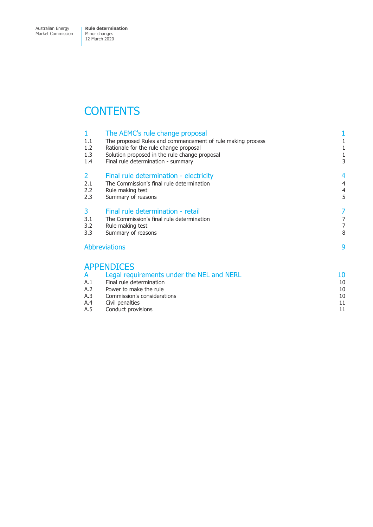Market Commission

## **CONTENTS**

| $\mathbf{1}$<br>1.1<br>1.2 | The AEMC's rule change proposal<br>The proposed Rules and commencement of rule making process<br>Rationale for the rule change proposal | 1<br>1<br>1                      |
|----------------------------|-----------------------------------------------------------------------------------------------------------------------------------------|----------------------------------|
| 1.3<br>1.4                 | Solution proposed in the rule change proposal<br>Final rule determination - summary                                                     | $\mathbf{1}$<br>3                |
| $\overline{2}$             | Final rule determination - electricity                                                                                                  | 4                                |
| 2.1<br>2.2                 | The Commission's final rule determination<br>Rule making test                                                                           | $\overline{4}$<br>$\overline{4}$ |
| 2.3                        | Summary of reasons                                                                                                                      | 5                                |
| 3                          | Final rule determination - retail                                                                                                       | 7                                |
| 3.1                        | The Commission's final rule determination                                                                                               | 7                                |
| 3.2<br>3.3                 | Rule making test<br>Summary of reasons                                                                                                  | 7<br>8                           |
| <b>Abbreviations</b>       |                                                                                                                                         | 9                                |
|                            | <b>APPENDICES</b>                                                                                                                       |                                  |
| A                          | Legal requirements under the NEL and NERL                                                                                               | 10                               |
| A.1                        | Final rule determination                                                                                                                | 10                               |
| A.2<br>A.3                 | Power to make the rule<br>Commission's considerations                                                                                   | 10<br>10                         |
| A.4                        | Civil penalties                                                                                                                         | 11                               |
| A.5                        | Conduct provisions                                                                                                                      | 11                               |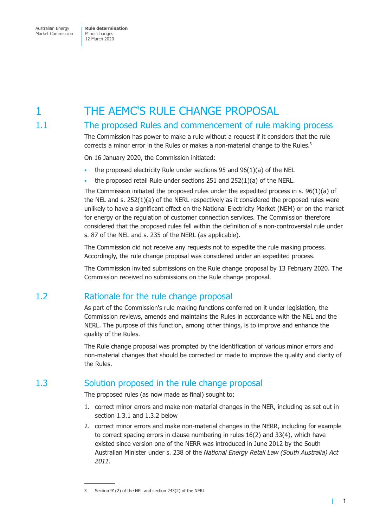# <span id="page-4-0"></span>1 THE AEMC'S RULE CHANGE PROPOSAL

#### 1.1 The proposed Rules and commencement of rule making process

The Commission has power to make a rule without a request if it considers that the rule corrects a minor error in the Rules or makes a non-material change to the Rules.<sup>3</sup>

On 16 January 2020, the Commission initiated:

- the proposed electricity Rule under sections 95 and  $96(1)(a)$  of the NEL
- the proposed retail Rule under sections 251 and 252(1)(a) of the NERL.

The Commission initiated the proposed rules under the expedited process in s. 96(1)(a) of the NEL and s. 252(1)(a) of the NERL respectively as it considered the proposed rules were unlikely to have a significant effect on the National Electricity Market (NEM) or on the market for energy or the regulation of customer connection services. The Commission therefore considered that the proposed rules fell within the definition of a non-controversial rule under s. 87 of the NEL and s. 235 of the NERL (as applicable).

The Commission did not receive any requests not to expedite the rule making process. Accordingly, the rule change proposal was considered under an expedited process.

The Commission invited submissions on the Rule change proposal by 13 February 2020. The Commission received no submissions on the Rule change proposal.

#### 1.2 Rationale for the rule change proposal

As part of the Commission's rule making functions conferred on it under legislation, the Commission reviews, amends and maintains the Rules in accordance with the NEL and the NERL. The purpose of this function, among other things, is to improve and enhance the quality of the Rules.

The Rule change proposal was prompted by the identification of various minor errors and non-material changes that should be corrected or made to improve the quality and clarity of the Rules.

#### 1.3 Solution proposed in the rule change proposal

The proposed rules (as now made as final) sought to:

- 1. correct minor errors and make non-material changes in the NER, including as set out in section 1.3.1 and 1.3.2 below
- 2. correct minor errors and make non-material changes in the NERR, including for example to correct spacing errors in clause numbering in rules 16(2) and 33(4), which have existed since version one of the NERR was introduced in June 2012 by the South Australian Minister under s. 238 of the *National Energy Retail Law (South Australia) Act 2011*.

т

<sup>3</sup> Section 91(2) of the NEL and section 243(2) of the NERL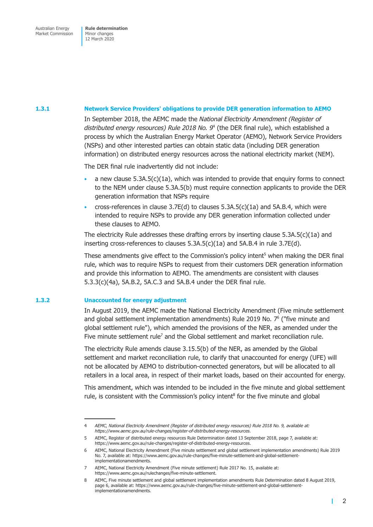#### **1.3.1 Network Service Providers' obligations to provide DER generation information to AEMO**

In September 2018, the AEMC made the *National Electricity Amendment (Register of distributed energy resources) Rule 2018 No. 9*<sup>4</sup> (the DER final rule), which established a process by which the Australian Energy Market Operator (AEMO), Network Service Providers (NSPs) and other interested parties can obtain static data (including DER generation information) on distributed energy resources across the national electricity market (NEM).

The DER final rule inadvertently did not include:

- a new clause  $5.3A.5(c)(1a)$ , which was intended to provide that enquiry forms to connect to the NEM under clause 5.3A.5(b) must require connection applicants to provide the DER generation information that NSPs require
- cross-references in clause  $3.7E(d)$  to clauses  $5.3A.5(c)(1a)$  and  $5A.B.4$ , which were intended to require NSPs to provide any DER generation information collected under these clauses to AEMO.

The electricity Rule addresses these drafting errors by inserting clause  $5.3A.5(c)(1a)$  and inserting cross-references to clauses 5.3A.5(c)(1a) and 5A.B.4 in rule 3.7E(d).

These amendments give effect to the Commission's policy intent<sup>5</sup> when making the DER final rule, which was to require NSPs to request from their customers DER generation information and provide this information to AEMO. The amendments are consistent with clauses 5.3.3(c)(4a), 5A.B.2, 5A.C.3 and 5A.B.4 under the DER final rule.

#### **1.3.2 Unaccounted for energy adjustment**

In August 2019, the AEMC made the National Electricity Amendment (Five minute settlement and global settlement implementation amendments) Rule 2019 No.  $7<sup>6</sup>$  ("five minute and global settlement rule"), which amended the provisions of the NER, as amended under the Five minute settlement rule<sup>7</sup> and the Global settlement and market reconciliation rule.

The electricity Rule amends clause 3.15.5(b) of the NER, as amended by the Global settlement and market reconciliation rule, to clarify that unaccounted for energy (UFE) will not be allocated by AEMO to distribution-connected generators, but will be allocated to all retailers in a local area, in respect of their market loads, based on their accounted for energy.

This amendment, which was intended to be included in the five minute and global settlement rule, is consistent with the Commission's policy intent<sup>8</sup> for the five minute and global

т

<sup>4</sup> *AEMC, National Electricity Amendment (Register of distributed energy resources) Rule 2018 No. 9, available at: https://www.aemc.gov.au/rule-changes/register-of-distributed-energy-resources.*

<sup>5</sup> AEMC, Register of distributed energy resources Rule Determination dated 13 September 2018, page 7, available at: https://www.aemc.gov.au/rule-changes/register-of-distributed-energy-resources.

<sup>6</sup> AEMC, National Electricity Amendment (Five minute settlement and global settlement implementation amendments) Rule 2019 No. 7, available at: https://www.aemc.gov.au/rule-changes/five-minute-settlement-and-global-settlementimplementationamendments.

<sup>7</sup> AEMC, National Electricity Amendment (Five minute settlement) Rule 2017 No. 15, available at: https://www.aemc.gov.au/rulechanges/five-minute-settlement.

<sup>8</sup> AEMC, Five minute settlement and global settlement implementation amendments Rule Determination dated 8 August 2019, page 6, available at: https://www.aemc.gov.au/rule-changes/five-minute-settlement-and-global-settlementimplementationamendments.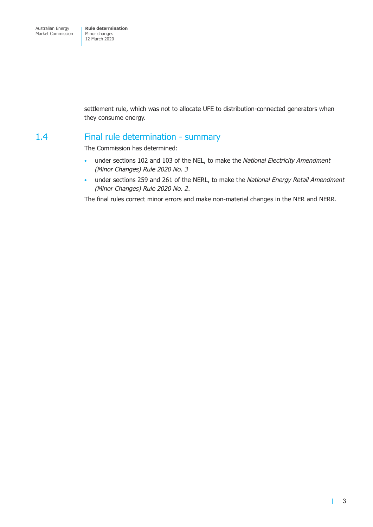<span id="page-6-0"></span>settlement rule, which was not to allocate UFE to distribution-connected generators when they consume energy.

#### 1.4 Final rule determination - summary

The Commission has determined:

- under sections 102 and 103 of the NEL, to make the *National Electricity Amendment (Minor Changes) Rule 2020 No. 3*
- under sections 259 and 261 of the NERL, to make the *National Energy Retail Amendment (Minor Changes) Rule 2020 No. 2*.

The final rules correct minor errors and make non-material changes in the NER and NERR.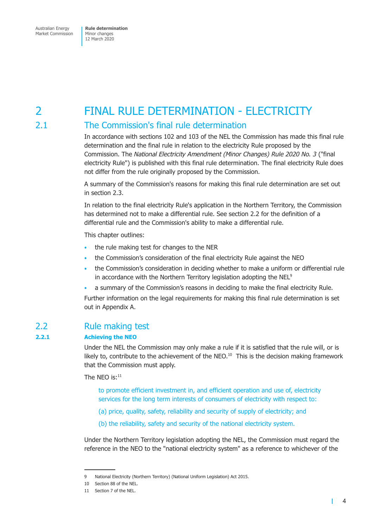## <span id="page-7-0"></span>2 FINAL RULE DETERMINATION - ELECTRICITY

### 2.1 The Commission's final rule determination

In accordance with sections 102 and 103 of the NEL the Commission has made this final rule determination and the final rule in relation to the electricity Rule proposed by the Commission. The *National Electricity Amendment (Minor Changes) Rule 2020 No. 3* ("final electricity Rule") is published with this final rule determination. The final electricity Rule does not differ from the rule originally proposed by the Commission.

A summary of the Commission's reasons for making this final rule determination are set out in section 2.3.

In relation to the final electricity Rule's application in the Northern Territory, the Commission has determined not to make a differential rule. See section 2.2 for the definition of a differential rule and the Commission's ability to make a differential rule.

This chapter outlines:

- the rule making test for changes to the NER
- the Commission's consideration of the final electricity Rule against the NEO
- the Commission's consideration in deciding whether to make a uniform or differential rule in accordance with the Northern Territory legislation adopting the NEL<sup>9</sup>
- a summary of the Commission's reasons in deciding to make the final electricity Rule.

Further information on the legal requirements for making this final rule determination is set out in Appendix A.

#### 2.2 Rule making test

#### **2.2.1 Achieving the NEO**

Under the NEL the Commission may only make a rule if it is satisfied that the rule will, or is likely to, contribute to the achievement of the NEO. $10$  This is the decision making framework that the Commission must apply.

The NEO is: $11$ 

to promote efficient investment in, and efficient operation and use of, electricity services for the long term interests of consumers of electricity with respect to:

- (a) price, quality, safety, reliability and security of supply of electricity; and
- (b) the reliability, safety and security of the national electricity system.

Under the Northern Territory legislation adopting the NEL, the Commission must regard the reference in the NEO to the "national electricity system" as a reference to whichever of the

 $\mathbf{I}$ 

<sup>9</sup> National Electricity (Northern Territory) (National Uniform Legislation) Act 2015.

<sup>10</sup> Section 88 of the NEL.

<sup>11</sup> Section 7 of the NEL.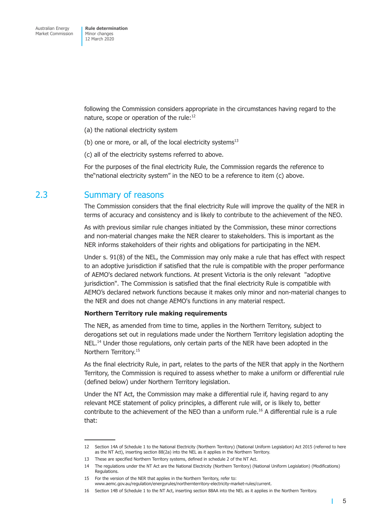<span id="page-8-0"></span>following the Commission considers appropriate in the circumstances having regard to the nature, scope or operation of the rule:<sup>12</sup>

- (a) the national electricity system
- (b) one or more, or all, of the local electricity systems $13$
- (c) all of the electricity systems referred to above.

For the purposes of the final electricity Rule, the Commission regards the reference to the"national electricity system" in the NEO to be a reference to item (c) above.

#### 2.3 Summary of reasons

The Commission considers that the final electricity Rule will improve the quality of the NER in terms of accuracy and consistency and is likely to contribute to the achievement of the NEO.

As with previous similar rule changes initiated by the Commission, these minor corrections and non-material changes make the NER clearer to stakeholders. This is important as the NER informs stakeholders of their rights and obligations for participating in the NEM.

Under s. 91(8) of the NEL, the Commission may only make a rule that has effect with respect to an adoptive jurisdiction if satisfied that the rule is compatible with the proper performance of AEMO's declared network functions. At present Victoria is the only relevant "adoptive jurisdiction". The Commission is satisfied that the final electricity Rule is compatible with AEMO's declared network functions because it makes only minor and non-material changes to the NER and does not change AEMO's functions in any material respect.

#### **Northern Territory rule making requirements**

The NER, as amended from time to time, applies in the Northern Territory, subject to derogations set out in regulations made under the Northern Territory legislation adopting the NEL.<sup>14</sup> Under those regulations, only certain parts of the NER have been adopted in the Northern Territory.15

As the final electricity Rule, in part, relates to the parts of the NER that apply in the Northern Territory, the Commission is required to assess whether to make a uniform or differential rule (defined below) under Northern Territory legislation.

Under the NT Act, the Commission may make a differential rule if, having regard to any relevant MCE statement of policy principles, a different rule will, or is likely to, better contribute to the achievement of the NEO than a uniform rule.16 A differential rule is a rule that:

т

<sup>12</sup> Section 14A of Schedule 1 to the National Electricity (Northern Territory) (National Uniform Legislation) Act 2015 (referred to here as the NT Act), inserting section 88(2a) into the NEL as it applies in the Northern Territory.

<sup>13</sup> These are specified Northern Territory systems, defined in schedule 2 of the NT Act.

<sup>14</sup> The regulations under the NT Act are the National Electricity (Northern Territory) (National Uniform Legislation) (Modifications) Regulations

<sup>15</sup> For the version of the NER that applies in the Northern Territory, refer to: www.aemc.gov.au/regulation/energyrules/northernterritory-electricity-market-rules/current.

<sup>16</sup> Section 14B of Schedule 1 to the NT Act, inserting section 88AA into the NEL as it applies in the Northern Territory.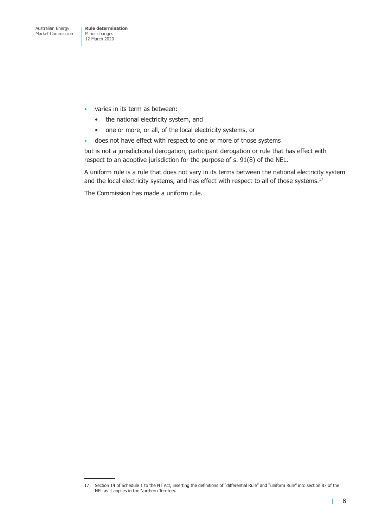- varies in its term as between:
	- the national electricity system, and
	- one or more, or all, of the local electricity systems, or
- does not have effect with respect to one or more of those systems

but is not a jurisdictional derogation, participant derogation or rule that has effect with respect to an adoptive jurisdiction for the purpose of s. 91(8) of the NEL.

A uniform rule is a rule that does not vary in its terms between the national electricity system and the local electricity systems, and has effect with respect to all of those systems.<sup>17</sup>

The Commission has made a uniform rule.

T.

<sup>17</sup> Section 14 of Schedule 1 to the NT Act, inserting the definitions of "differential Rule" and "uniform Rule" into section 87 of the NEL as it applies in the Northern Territory.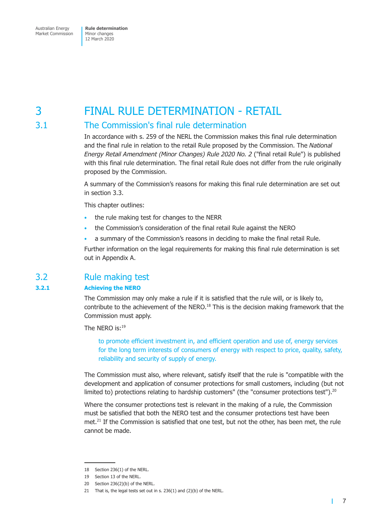## <span id="page-10-0"></span>3 FINAL RULE DETERMINATION - RETAIL

### 3.1 The Commission's final rule determination

In accordance with s. 259 of the NERL the Commission makes this final rule determination and the final rule in relation to the retail Rule proposed by the Commission. The *National Energy Retail Amendment (Minor Changes) Rule 2020 No. 2* ("final retail Rule") is published with this final rule determination. The final retail Rule does not differ from the rule originally proposed by the Commission.

A summary of the Commission's reasons for making this final rule determination are set out in section 3.3.

This chapter outlines:

- the rule making test for changes to the NERR
- the Commission's consideration of the final retail Rule against the NERO
- a summary of the Commission's reasons in deciding to make the final retail Rule.

Further information on the legal requirements for making this final rule determination is set out in Appendix A.

#### 3.2 Rule making test

#### **3.2.1 Achieving the NERO**

The Commission may only make a rule if it is satisfied that the rule will, or is likely to, contribute to the achievement of the NERO.<sup>18</sup> This is the decision making framework that the Commission must apply.

The NFRO is:19

to promote efficient investment in, and efficient operation and use of, energy services for the long term interests of consumers of energy with respect to price, quality, safety, reliability and security of supply of energy.

The Commission must also, where relevant, satisfy itself that the rule is "compatible with the development and application of consumer protections for small customers, including (but not limited to) protections relating to hardship customers" (the "consumer protections test").<sup>20</sup>

Where the consumer protections test is relevant in the making of a rule, the Commission must be satisfied that both the NERO test and the consumer protections test have been met.<sup>21</sup> If the Commission is satisfied that one test, but not the other, has been met, the rule cannot be made.

г

<sup>18</sup> Section 236(1) of the NERL.

<sup>19</sup> Section 13 of the NERL.

<sup>20</sup> Section 236(2)(b) of the NERL.

<sup>21</sup> That is, the legal tests set out in s. 236(1) and (2)(b) of the NERL.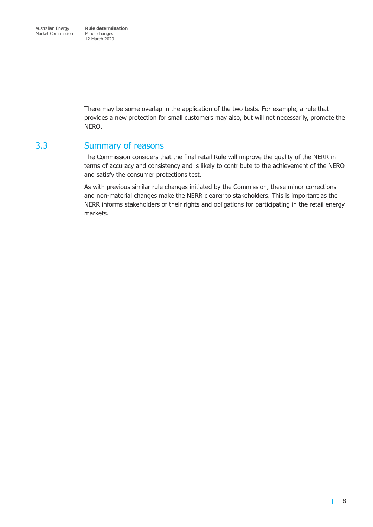<span id="page-11-0"></span>There may be some overlap in the application of the two tests. For example, a rule that provides a new protection for small customers may also, but will not necessarily, promote the NERO.

#### 3.3 Summary of reasons

The Commission considers that the final retail Rule will improve the quality of the NERR in terms of accuracy and consistency and is likely to contribute to the achievement of the NERO and satisfy the consumer protections test.

As with previous similar rule changes initiated by the Commission, these minor corrections and non-material changes make the NERR clearer to stakeholders. This is important as the NERR informs stakeholders of their rights and obligations for participating in the retail energy markets.

Т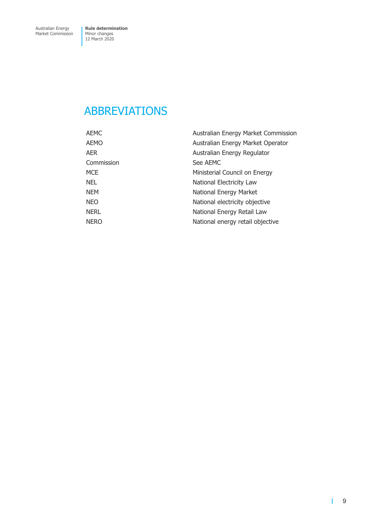## <span id="page-12-0"></span>ABBREVIATIONS

| AEMC        | Australian Energy Market Commission |
|-------------|-------------------------------------|
| AEMO        | Australian Energy Market Operator   |
| AER         | Australian Energy Regulator         |
| Commission  | See AEMC                            |
| <b>MCE</b>  | Ministerial Council on Energy       |
| <b>NEL</b>  | National Electricity Law            |
| <b>NEM</b>  | National Energy Market              |
| <b>NEO</b>  | National electricity objective      |
| <b>NERL</b> | National Energy Retail Law          |
| <b>NERO</b> | National energy retail objective    |
|             |                                     |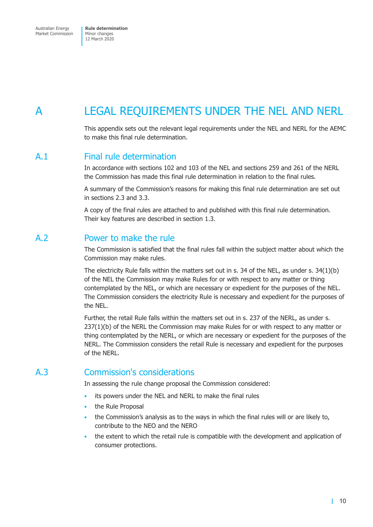## <span id="page-13-0"></span>A LEGAL REQUIREMENTS UNDER THE NEL AND NERL

This appendix sets out the relevant legal requirements under the NEL and NERL for the AEMC to make this final rule determination.

#### A.1 Final rule determination

In accordance with sections 102 and 103 of the NEL and sections 259 and 261 of the NERL the Commission has made this final rule determination in relation to the final rules.

A summary of the Commission's reasons for making this final rule determination are set out in sections 2.3 and 3.3.

A copy of the final rules are attached to and published with this final rule determination. Their key features are described in section 1.3.

#### A.2 Power to make the rule

The Commission is satisfied that the final rules fall within the subject matter about which the Commission may make rules.

The electricity Rule falls within the matters set out in s. 34 of the NEL, as under s. 34(1)(b) of the NEL the Commission may make Rules for or with respect to any matter or thing contemplated by the NEL, or which are necessary or expedient for the purposes of the NEL. The Commission considers the electricity Rule is necessary and expedient for the purposes of the NEL.

Further, the retail Rule falls within the matters set out in s. 237 of the NERL, as under s. 237(1)(b) of the NERL the Commission may make Rules for or with respect to any matter or thing contemplated by the NERL, or which are necessary or expedient for the purposes of the NERL. The Commission considers the retail Rule is necessary and expedient for the purposes of the NERL.

#### A.3 Commission's considerations

In assessing the rule change proposal the Commission considered:

- its powers under the NEL and NERL to make the final rules
- the Rule Proposal
- the Commission's analysis as to the ways in which the final rules will or are likely to, contribute to the NEO and the NERO
- the extent to which the retail rule is compatible with the development and application of consumer protections.